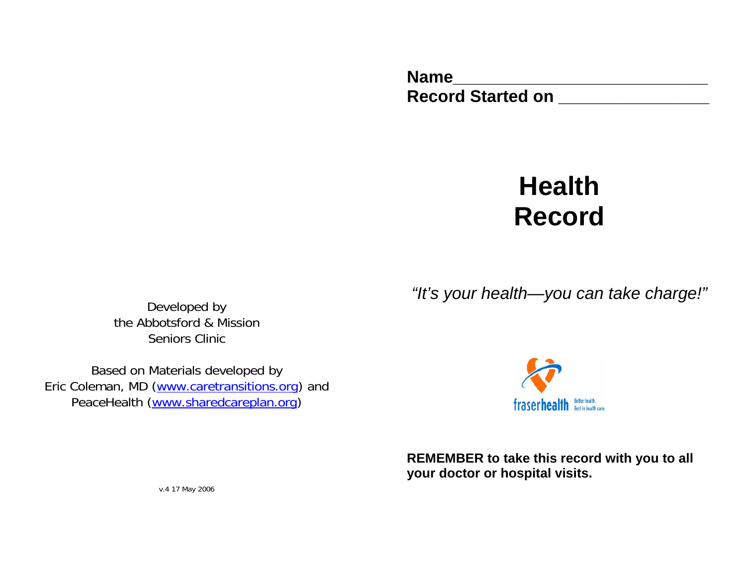**Name\_\_\_\_\_\_\_\_\_\_\_\_\_\_\_\_\_\_\_\_\_\_\_\_\_\_\_**  Record Started on **\_\_\_\_\_\_\_\_\_\_\_\_\_\_\_\_\_** 

# **Health Record**

*"It's your health—you can take charge!"* 

Developed by the Abbotsford & Mission Seniors Clinic

Based on Materials developed by Eric Coleman, MD (www.caretransitions.org) and PeaceHealth (www.sharedcareplan.org)



**REMEMBER to take this record with you to all your doctor or hospital visits.** 

v.4 17 May 2006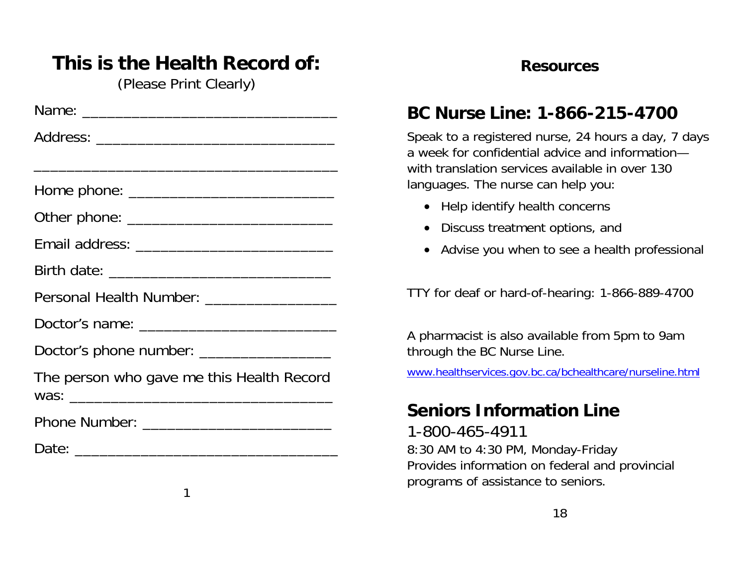# **This is the Health Record of:**

(Please Print Clearly)

| and the control of the control of the control of the control of the control of the control of the control of the |  |  |  |
|------------------------------------------------------------------------------------------------------------------|--|--|--|
|                                                                                                                  |  |  |  |
|                                                                                                                  |  |  |  |
|                                                                                                                  |  |  |  |
|                                                                                                                  |  |  |  |
| Personal Health Number: ___________________                                                                      |  |  |  |
|                                                                                                                  |  |  |  |
| Doctor's phone number: _____________________                                                                     |  |  |  |
| The person who gave me this Health Record                                                                        |  |  |  |
|                                                                                                                  |  |  |  |
|                                                                                                                  |  |  |  |
|                                                                                                                  |  |  |  |

1

#### **Resources**

# **BC Nurse Line: 1-866-215-4700**

Speak to a registered nurse, 24 hours a day, 7 days a week for confidential advice and informationwith translation services available in over 130 languages. The nurse can help you:

- Help identify health concerns
- Discuss treatment options, and
- Advise you when to see a health professional

TTY for deaf or hard-of-hearing: 1-866-889-4700

A pharmacist is also available from 5pm to 9am through the BC Nurse Line.

www.healthservices.gov.bc.ca/bchealthcare/nurseline.html

#### **Seniors Information Line**

1-800-465-4911 8:30 AM to 4:30 PM, Monday-Friday Provides information on federal and provincial programs of assistance to seniors.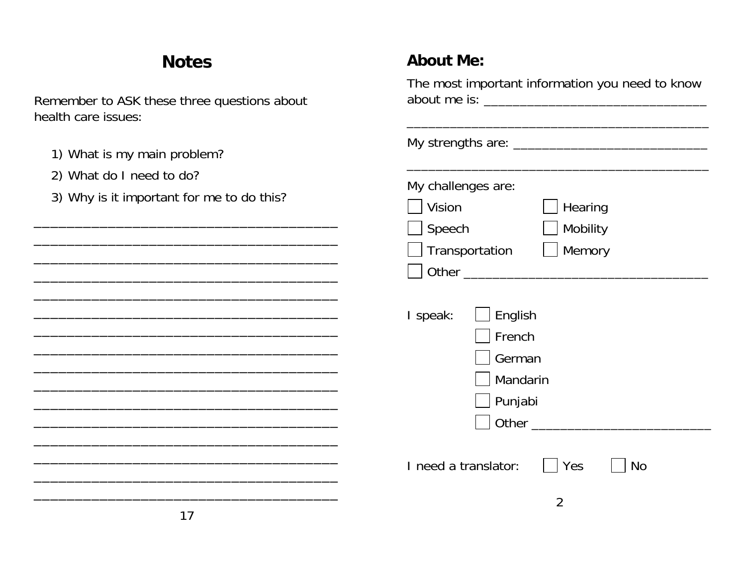## **Notes**

Remember to ASK these three questions about health care issues:

- 1) What is my main problem?
- 2) What do I need to do?
- 3) Why is it important for me to do this?

#### **About Me:**

| The most important information you need to know                  |
|------------------------------------------------------------------|
| My strengths are: _____________________________                  |
| My challenges are:<br>Vision<br>Hearing<br>Speech<br>Mobility    |
| Transportation<br>Memory                                         |
| I speak:<br>English<br>French<br>German<br>Mandarin<br>] Punjabi |
| I need a translator:<br>Yes<br>No<br>2                           |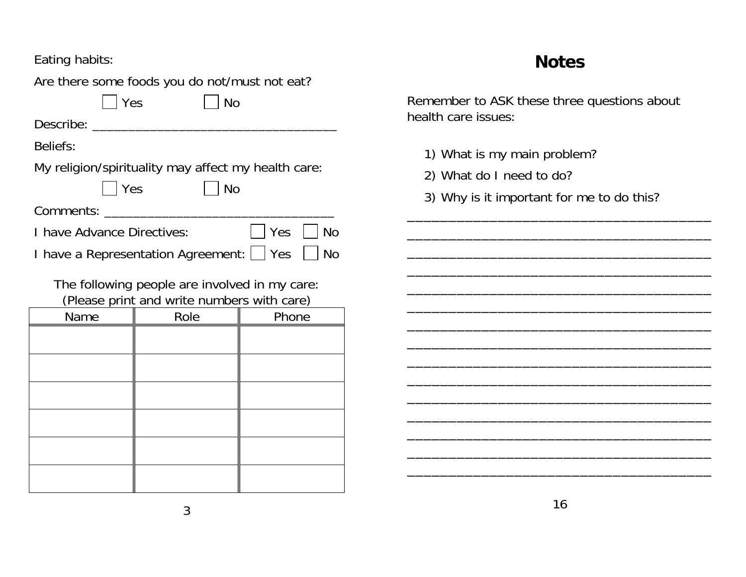Eating habits:

Are there some foods you do not/must not eat?

 $\vert \vert$  Yes  $\vert \vert$  No

Describe: \_\_\_\_\_\_\_\_\_\_\_\_\_\_\_\_\_\_\_\_\_\_\_\_\_\_\_\_\_\_\_\_\_\_

Beliefs:

My religion/spirituality may affect my health care:

| Yes | | No

Comments: **with the comments** of the community of the control of the control of the control of the control of the control of the control of the control of the control of the control of the control of the control of the con

I have Advance Directives:  $\Box$  Yes  $\Box$  No

I have a Representation Agreement: | | Yes | | No

The following people are involved in my care: (Please print and write numbers with care)

| Please print and write numbers with care) |      |       |  |
|-------------------------------------------|------|-------|--|
| Name                                      | Role | Phone |  |
|                                           |      |       |  |
|                                           |      |       |  |
|                                           |      |       |  |
|                                           |      |       |  |
|                                           |      |       |  |
|                                           |      |       |  |
|                                           |      |       |  |
|                                           |      |       |  |
|                                           |      |       |  |
|                                           |      |       |  |
|                                           |      |       |  |
|                                           |      |       |  |

#### **Notes**

Remember to ASK these three questions about health care issues:

- 1) What is my main problem?
- 2) What do I need to do?
- 3) Why is it important for me to do this?

\_\_\_\_\_\_\_\_\_\_\_\_\_\_\_\_\_\_\_\_\_\_\_\_\_\_\_\_\_\_\_\_\_\_\_\_\_ \_\_\_\_\_\_\_\_\_\_\_\_\_\_\_\_\_\_\_\_\_\_\_\_\_\_\_\_\_\_\_\_\_\_\_\_\_

\_\_\_\_\_\_\_\_\_\_\_\_\_\_\_\_\_\_\_\_\_\_\_\_\_\_\_\_\_\_\_\_\_\_\_\_\_ \_\_\_\_\_\_\_\_\_\_\_\_\_\_\_\_\_\_\_\_\_\_\_\_\_\_\_\_\_\_\_\_\_\_\_\_\_ \_\_\_\_\_\_\_\_\_\_\_\_\_\_\_\_\_\_\_\_\_\_\_\_\_\_\_\_\_\_\_\_\_\_\_\_\_ \_\_\_\_\_\_\_\_\_\_\_\_\_\_\_\_\_\_\_\_\_\_\_\_\_\_\_\_\_\_\_\_\_\_\_\_\_ \_\_\_\_\_\_\_\_\_\_\_\_\_\_\_\_\_\_\_\_\_\_\_\_\_\_\_\_\_\_\_\_\_\_\_\_\_ \_\_\_\_\_\_\_\_\_\_\_\_\_\_\_\_\_\_\_\_\_\_\_\_\_\_\_\_\_\_\_\_\_\_\_\_\_ \_\_\_\_\_\_\_\_\_\_\_\_\_\_\_\_\_\_\_\_\_\_\_\_\_\_\_\_\_\_\_\_\_\_\_\_\_ \_\_\_\_\_\_\_\_\_\_\_\_\_\_\_\_\_\_\_\_\_\_\_\_\_\_\_\_\_\_\_\_\_\_\_\_\_ \_\_\_\_\_\_\_\_\_\_\_\_\_\_\_\_\_\_\_\_\_\_\_\_\_\_\_\_\_\_\_\_\_\_\_\_\_ \_\_\_\_\_\_\_\_\_\_\_\_\_\_\_\_\_\_\_\_\_\_\_\_\_\_\_\_\_\_\_\_\_\_\_\_\_ \_\_\_\_\_\_\_\_\_\_\_\_\_\_\_\_\_\_\_\_\_\_\_\_\_\_\_\_\_\_\_\_\_\_\_\_\_ \_\_\_\_\_\_\_\_\_\_\_\_\_\_\_\_\_\_\_\_\_\_\_\_\_\_\_\_\_\_\_\_\_\_\_\_\_ \_\_\_\_\_\_\_\_\_\_\_\_\_\_\_\_\_\_\_\_\_\_\_\_\_\_\_\_\_\_\_\_\_\_\_\_\_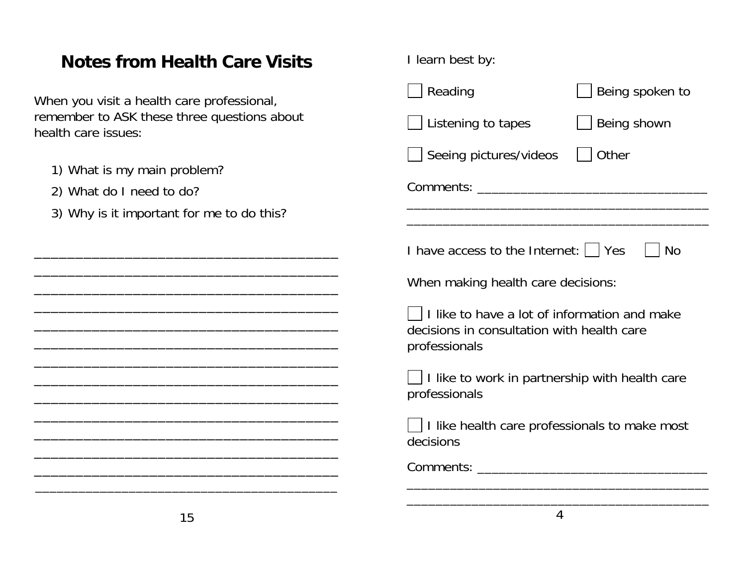## **Notes from Health Care Visits**

- 1) What is my
- 2) What do I

| When you visit a health care professional,                                                           | Reading<br>Being spoken to                                                                                  |
|------------------------------------------------------------------------------------------------------|-------------------------------------------------------------------------------------------------------------|
| remember to ASK these three questions about<br>health care issues:                                   | Being shown<br>Listening to tapes                                                                           |
| 1) What is my main problem?<br>2) What do I need to do?<br>3) Why is it important for me to do this? | Other<br>Seeing pictures/videos                                                                             |
|                                                                                                      | I have access to the Internet:     Yes<br><b>No</b>                                                         |
|                                                                                                      | When making health care decisions:                                                                          |
|                                                                                                      | I like to have a lot of information and make<br>decisions in consultation with health care<br>professionals |
| <u> 1989 - Johann Stoff, amerikansk politiker (d. 1989)</u>                                          | I like to work in partnership with health care<br>professionals                                             |
|                                                                                                      | I like health care professionals to make most<br>decisions                                                  |
|                                                                                                      |                                                                                                             |
| 15                                                                                                   | $\overline{4}$                                                                                              |

I learn best by: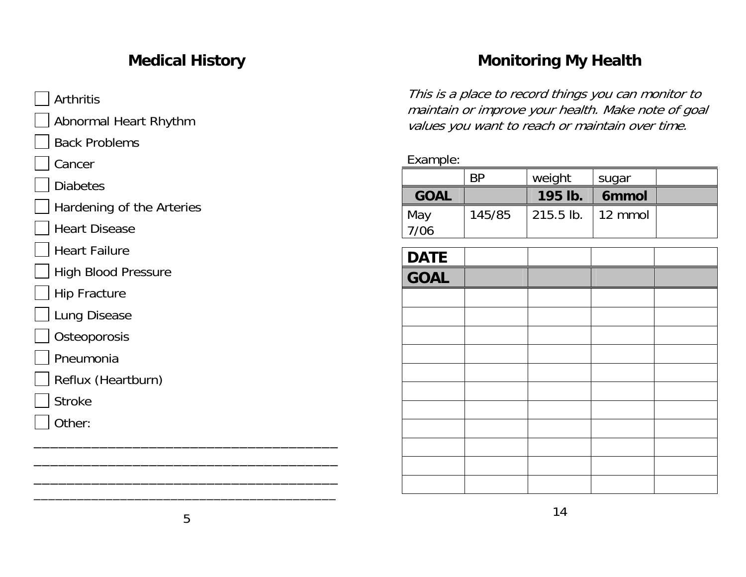#### **Medical History**

**Arthritis** 

Abnormal Heart Rhythm

Back Problems

Cancer

**Diabetes** 

- Hardening of the Arteries
- Heart Disease
- Heart Failure
- High Blood Pressure

Hip Fracture

Lung Disease

**Osteoporosis** 

- Pneumonia
- Reflux (Heartburn)
- Stroke
- Other:

#### **Monitoring My Health**

This is a place to record things you can monitor to maintain or improve your health. Make note of goal values you want to reach or maintain over time.

Example:

|             | RP     | weight      | sugar           |  |
|-------------|--------|-------------|-----------------|--|
| <b>GOAL</b> |        | 195 lb.     | <b>6mmol</b>    |  |
| May         | 145/85 | $215.5$ lb. | $\vert$ 12 mmol |  |
| 7/06        |        |             |                 |  |

| <b>DATE</b> |  |  |
|-------------|--|--|
| <b>GOAL</b> |  |  |
|             |  |  |
|             |  |  |
|             |  |  |
|             |  |  |
|             |  |  |
|             |  |  |
|             |  |  |
|             |  |  |
|             |  |  |
|             |  |  |
|             |  |  |

\_\_\_\_\_\_\_\_\_\_\_\_\_\_\_\_\_\_\_\_\_\_\_\_\_\_\_\_\_\_\_\_\_\_\_\_\_ \_\_\_\_\_\_\_\_\_\_\_\_\_\_\_\_\_\_\_\_\_\_\_\_\_\_\_\_\_\_\_\_\_\_\_\_\_ \_\_\_\_\_\_\_\_\_\_\_\_\_\_\_\_\_\_\_\_\_\_\_\_\_\_\_\_\_\_\_\_\_\_\_\_\_ \_\_\_\_\_\_\_\_\_\_\_\_\_\_\_\_\_\_\_\_\_\_\_\_\_\_\_\_\_\_\_\_\_\_\_\_\_\_\_\_\_\_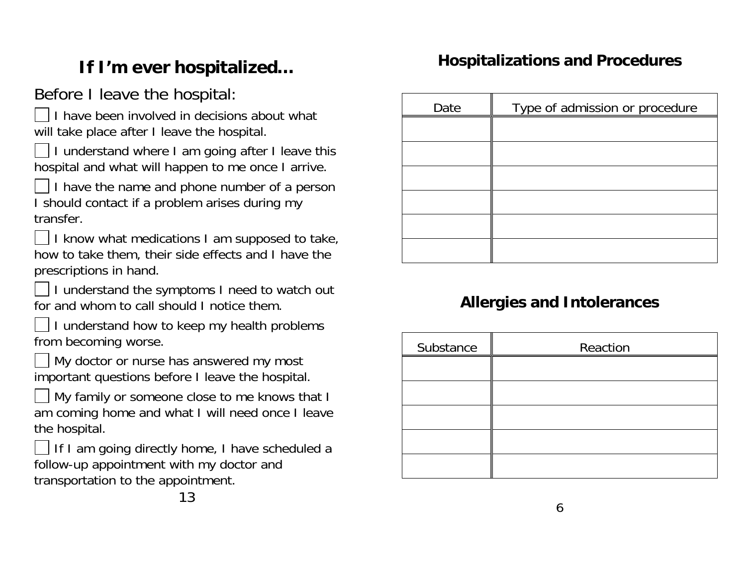# **If I'm ever hospitalized…**

# Before I leave the hospital:

I have been involved in decisions about will take place after I leave the hospital.

I understand where I am going after I leave this hospital and what will happen to me once I arrive.

I have the name and phone number of a person I should contact if a problem arises during my transfer.

 I know what medications I am supposed to take, how to take them, their side effects and I have the prescriptions in hand.

 I understand the symptoms I need to watch out for and whom to call should I notice them.

 I understand how to keep my health problems from becoming worse.

 My doctor or nurse has answered my most important questions before I leave the hospital.

 My family or someone close to me knows that I am coming home and what I will need once I leave the hospital.

 If I am going directly home, I have scheduled a follow-up appointment with my doctor and transportation to the appointment.

| ıt what | Date | $\sim$ |
|---------|------|--------|
|         |      |        |

# e of admission or procedure

**Hospitalizations and Procedures** 

#### **Allergies and Intolerances**

| Substance | Reaction |  |  |
|-----------|----------|--|--|
|           |          |  |  |
|           |          |  |  |
|           |          |  |  |
|           |          |  |  |
|           |          |  |  |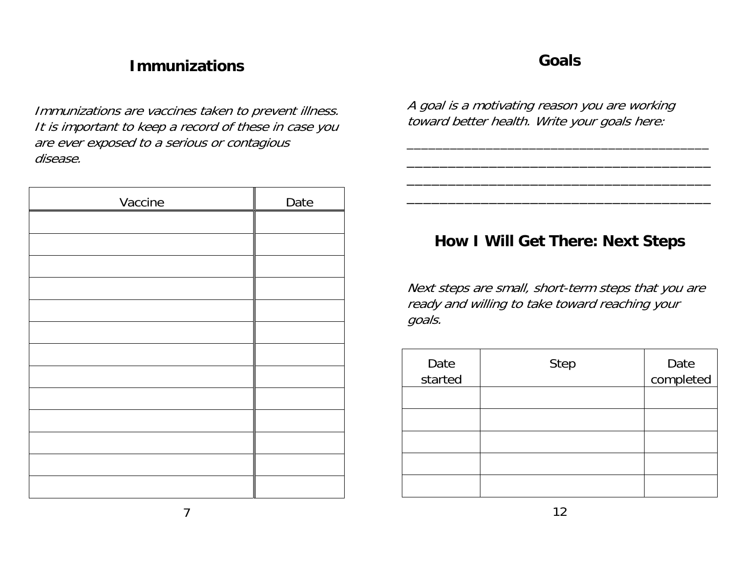#### **Immunizations**

Immunizations are vaccines taken to prevent illness. It is important to keep a record of these in case you are ever exposed to a serious or contagious disease.

| Vaccine | Date |
|---------|------|
|         |      |
|         |      |
|         |      |
|         |      |
|         |      |
|         |      |
|         |      |
|         |      |
|         |      |
|         |      |
|         |      |
|         |      |
|         |      |

#### **Goals**

A goal is a motivating reason you are working toward better health. Write your goals here:

#### **How I Will Get There: Next Steps**

\_\_\_\_\_\_\_\_\_\_\_\_\_\_\_\_\_\_\_\_\_\_\_\_\_\_\_\_\_\_\_\_\_\_\_\_\_ \_\_\_\_\_\_\_\_\_\_\_\_\_\_\_\_\_\_\_\_\_\_\_\_\_\_\_\_\_\_\_\_\_\_\_\_\_ \_\_\_\_\_\_\_\_\_\_\_\_\_\_\_\_\_\_\_\_\_\_\_\_\_\_\_\_\_\_\_\_\_\_\_\_\_

Next steps are small, short-term steps that you are ready and willing to take toward reaching your goals.

| Date<br>started | <b>Step</b> | Date<br>completed |
|-----------------|-------------|-------------------|
|                 |             |                   |
|                 |             |                   |
|                 |             |                   |
|                 |             |                   |
|                 |             |                   |